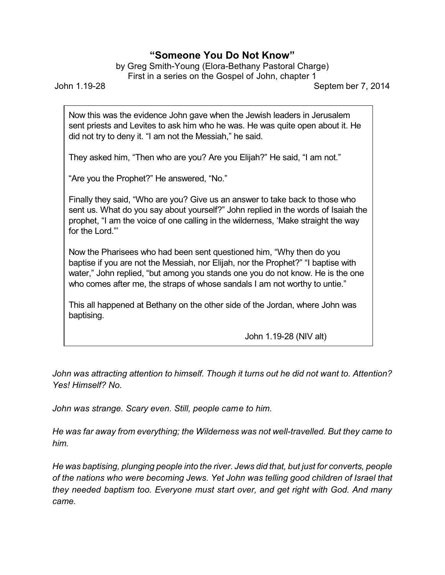## **"Someone You Do Not Know"**

by Greg Smith-Young (Elora-Bethany Pastoral Charge) First in a series on the Gospel of John, chapter 1

John 1.19-28 Septem ber 7, 2014

Now this was the evidence John gave when the Jewish leaders in Jerusalem sent priests and Levites to ask him who he was. He was quite open about it. He did not try to deny it. "I am not the Messiah," he said.

They asked him, "Then who are you? Are you Elijah?" He said, "I am not."

"Are you the Prophet?" He answered, "No."

Finally they said, "Who are you? Give us an answer to take back to those who sent us. What do you say about yourself?" John replied in the words of Isaiah the prophet, "I am the voice of one calling in the wilderness, 'Make straight the way for the Lord."'

Now the Pharisees who had been sent questioned him, "Why then do you baptise if you are not the Messiah, nor Elijah, nor the Prophet?" "I baptise with water," John replied, "but among you stands one you do not know. He is the one who comes after me, the straps of whose sandals I am not worthy to untie."

This all happened at Bethany on the other side of the Jordan, where John was baptising.

John 1.19-28 (NIV alt)

*John was attracting attention to himself. Though it turns out he did not want to. Attention? Yes! Himself? No.*

*John was strange. Scary even. Still, people came to him.*

*He was far away from everything; the Wilderness was not well-travelled. But they came to him.*

*He was baptising, plunging people into the river. Jews did that, but just for converts, people of the nations who were becoming Jews. Yet John was telling good children of Israel that they needed baptism too. Everyone must start over, and get right with God. And many came.*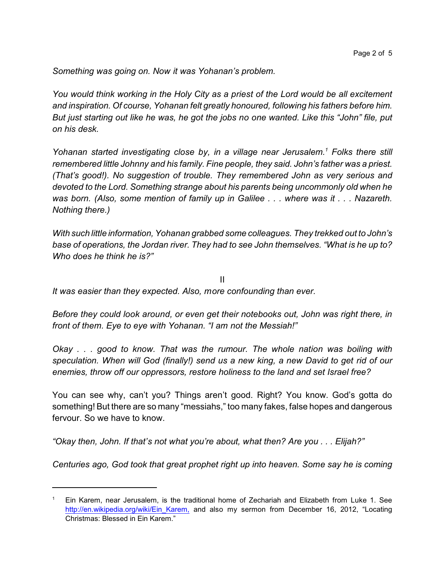*Something was going on. Now it was Yohanan's problem.*

*You would think working in the Holy City as a priest of the Lord would be all excitement and inspiration. Of course, Yohanan felt greatly honoured, following his fathers before him. But just starting out like he was, he got the jobs no one wanted. Like this "John" file, put on his desk.*

*Yohanan started investigating close by, in a village near Jerusalem. <sup>1</sup> Folks there still remembered little Johnny and his family. Fine people, they said. John's father was a priest. (That's good!). No suggestion of trouble. They remembered John as very serious and devoted to the Lord. Something strange about his parents being uncommonly old when he was born. (Also, some mention of family up in Galilee . . . where was it . . . Nazareth. Nothing there.)*

*With such little information, Yohanan grabbed some colleagues. They trekked out to John's base of operations, the Jordan river. They had to see John themselves. "What is he up to? Who does he think he is?"*

II *It was easier than they expected. Also, more confounding than ever.*

*Before they could look around, or even get their notebooks out, John was right there, in front of them. Eye to eye with Yohanan. "I am not the Messiah!"*

*Okay . . . good to know. That was the rumour. The whole nation was boiling with speculation. When will God (finally!) send us a new king, a new David to get rid of our enemies, throw off our oppressors, restore holiness to the land and set Israel free?* 

You can see why, can't you? Things aren't good. Right? You know. God's gotta do something! But there are so many "messiahs," too many fakes, false hopes and dangerous fervour. So we have to know.

*"Okay then, John. If that's not what you're about, what then? Are you . . . Elijah?"*

*Centuries ago, God took that great prophet right up into heaven. Some say he is coming*

<sup>1</sup> Ein Karem, near Jerusalem, is the traditional home of Zechariah and Elizabeth from Luke 1. See http://en.wikipedia.org/wiki/Ein Karem, and also my sermon from December 16, 2012, "Locating Christmas: Blessed in Ein Karem."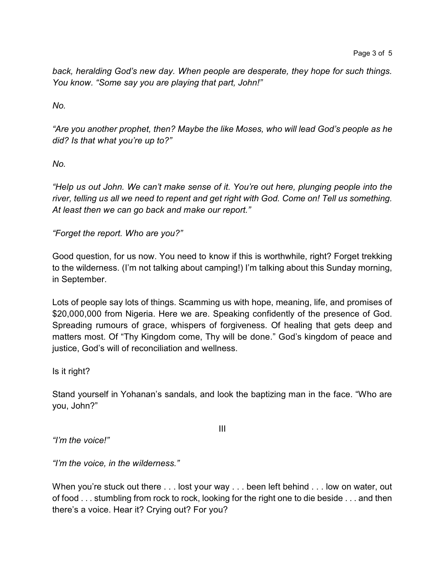*back, heralding God's new day. When people are desperate, they hope for such things. You know. "Some say you are playing that part, John!"*

*No.*

*"Are you another prophet, then? Maybe the like Moses, who will lead God's people as he did? Is that what you're up to?"*

*No.*

*"Help us out John. We can't make sense of it. You're out here, plunging people into the river, telling us all we need to repent and get right with God. Come on! Tell us something. At least then we can go back and make our report."*

*"Forget the report. Who are you?"*

Good question, for us now. You need to know if this is worthwhile, right? Forget trekking to the wilderness. (I'm not talking about camping!) I'm talking about this Sunday morning, in September.

Lots of people say lots of things. Scamming us with hope, meaning, life, and promises of \$20,000,000 from Nigeria. Here we are. Speaking confidently of the presence of God. Spreading rumours of grace, whispers of forgiveness. Of healing that gets deep and matters most. Of "Thy Kingdom come, Thy will be done." God's kingdom of peace and justice, God's will of reconciliation and wellness.

Is it right?

Stand yourself in Yohanan's sandals, and look the baptizing man in the face. "Who are you, John?"

III

*"I'm the voice!"*

*"I'm the voice, in the wilderness."*

When you're stuck out there . . . lost your way . . . been left behind . . . low on water, out of food . . . stumbling from rock to rock, looking for the right one to die beside . . . and then there's a voice. Hear it? Crying out? For you?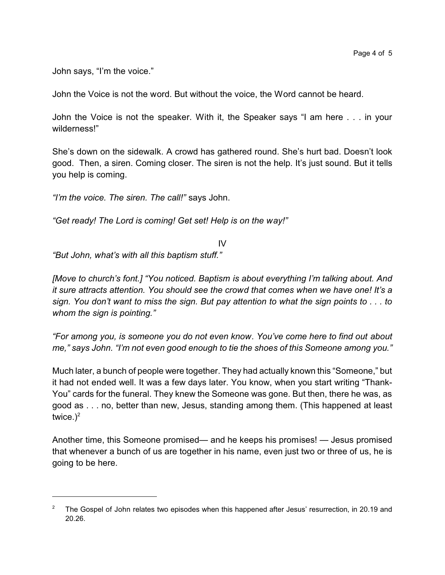John says, "I'm the voice."

John the Voice is not the word. But without the voice, the Word cannot be heard.

John the Voice is not the speaker. With it, the Speaker says "I am here . . . in your wilderness!"

She's down on the sidewalk. A crowd has gathered round. She's hurt bad. Doesn't look good. Then, a siren. Coming closer. The siren is not the help. It's just sound. But it tells you help is coming.

*"I'm the voice. The siren. The call!"* says John.

*"Get ready! The Lord is coming! Get set! Help is on the way!"*

IV

*"But John, what's with all this baptism stuff."*

*[Move to church's font.] "You noticed. Baptism is about everything I'm talking about. And it sure attracts attention. You should see the crowd that comes when we have one! It's a sign. You don't want to miss the sign. But pay attention to what the sign points to . . . to whom the sign is pointing."*

*"For among you, is someone you do not even know. You've come here to find out about me," says John. "I'm not even good enough to tie the shoes of this Someone among you."*

Much later, a bunch of people were together. They had actually known this "Someone," but it had not ended well. It was a few days later. You know, when you start writing "Thank-You" cards for the funeral. They knew the Someone was gone. But then, there he was, as good as . . . no, better than new, Jesus, standing among them. (This happened at least twice. $)^2$ 

Another time, this Someone promised— and he keeps his promises! — Jesus promised that whenever a bunch of us are together in his name, even just two or three of us, he is going to be here.

<sup>&</sup>lt;sup>2</sup> The Gospel of John relates two episodes when this happened after Jesus' resurrection, in 20.19 and 20.26.